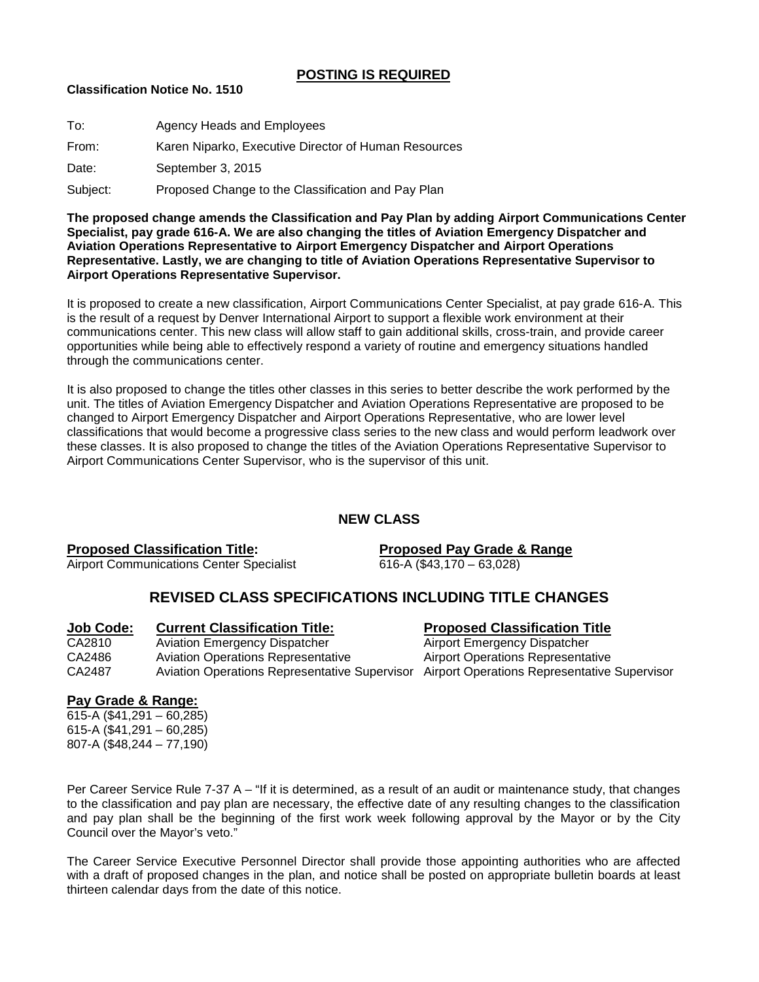## **POSTING IS REQUIRED**

## **Classification Notice No. 1510**

| To:      | Agency Heads and Employees                           |
|----------|------------------------------------------------------|
| From:    | Karen Niparko, Executive Director of Human Resources |
| Date:    | September 3, 2015                                    |
| Subject: | Proposed Change to the Classification and Pay Plan   |

**The proposed change amends the Classification and Pay Plan by adding Airport Communications Center Specialist, pay grade 616-A. We are also changing the titles of Aviation Emergency Dispatcher and Aviation Operations Representative to Airport Emergency Dispatcher and Airport Operations Representative. Lastly, we are changing to title of Aviation Operations Representative Supervisor to Airport Operations Representative Supervisor.** 

It is proposed to create a new classification, Airport Communications Center Specialist, at pay grade 616-A. This is the result of a request by Denver International Airport to support a flexible work environment at their communications center. This new class will allow staff to gain additional skills, cross-train, and provide career opportunities while being able to effectively respond a variety of routine and emergency situations handled through the communications center.

It is also proposed to change the titles other classes in this series to better describe the work performed by the unit. The titles of Aviation Emergency Dispatcher and Aviation Operations Representative are proposed to be changed to Airport Emergency Dispatcher and Airport Operations Representative, who are lower level classifications that would become a progressive class series to the new class and would perform leadwork over these classes. It is also proposed to change the titles of the Aviation Operations Representative Supervisor to Airport Communications Center Supervisor, who is the supervisor of this unit.

# **NEW CLASS**

**Proposed Classification Title: Proposed Pay Grade & Range** Airport Communications Center Specialist 616-A (\$43,170 – 63,028)

# **REVISED CLASS SPECIFICATIONS INCLUDING TITLE CHANGES**

# **Job Code: Current Classification Title: Proposed Classification Title**

CA2810 Aviation Emergency Dispatcher<br>
CA2486 Aviation Operations Representative Airport Operations Representative Aviation Operations Representative CA2487 Aviation Operations Representative Supervisor Airport Operations Representative Supervisor

## **Pay Grade & Range:**

 $\overline{615} - \overline{A} (\$41,291 - 60,285)$ 615-A (\$41,291 – 60,285) 807-A (\$48,244 – 77,190)

Per Career Service Rule 7-37 A – "If it is determined, as a result of an audit or maintenance study, that changes to the classification and pay plan are necessary, the effective date of any resulting changes to the classification and pay plan shall be the beginning of the first work week following approval by the Mayor or by the City Council over the Mayor's veto."

The Career Service Executive Personnel Director shall provide those appointing authorities who are affected with a draft of proposed changes in the plan, and notice shall be posted on appropriate bulletin boards at least thirteen calendar days from the date of this notice.